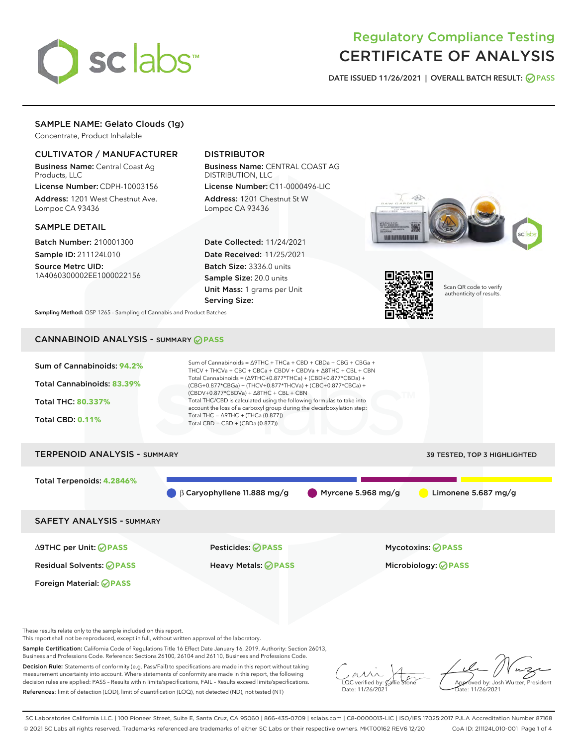

# Regulatory Compliance Testing CERTIFICATE OF ANALYSIS

DATE ISSUED 11/26/2021 | OVERALL BATCH RESULT: @ PASS

## SAMPLE NAME: Gelato Clouds (1g)

Concentrate, Product Inhalable

## CULTIVATOR / MANUFACTURER

Business Name: Central Coast Ag Products, LLC

License Number: CDPH-10003156 Address: 1201 West Chestnut Ave. Lompoc CA 93436

#### SAMPLE DETAIL

Batch Number: 210001300 Sample ID: 211124L010

Source Metrc UID: 1A4060300002EE1000022156

# DISTRIBUTOR

Business Name: CENTRAL COAST AG DISTRIBUTION, LLC License Number: C11-0000496-LIC

Address: 1201 Chestnut St W Lompoc CA 93436

Date Collected: 11/24/2021 Date Received: 11/25/2021 Batch Size: 3336.0 units Sample Size: 20.0 units Unit Mass: 1 grams per Unit Serving Size:





Scan QR code to verify authenticity of results.

Sampling Method: QSP 1265 - Sampling of Cannabis and Product Batches

# CANNABINOID ANALYSIS - SUMMARY **PASS**



This report shall not be reproduced, except in full, without written approval of the laboratory.

Sample Certification: California Code of Regulations Title 16 Effect Date January 16, 2019. Authority: Section 26013, Business and Professions Code. Reference: Sections 26100, 26104 and 26110, Business and Professions Code.

Decision Rule: Statements of conformity (e.g. Pass/Fail) to specifications are made in this report without taking measurement uncertainty into account. Where statements of conformity are made in this report, the following decision rules are applied: PASS – Results within limits/specifications, FAIL – Results exceed limits/specifications. References: limit of detection (LOD), limit of quantification (LOQ), not detected (ND), not tested (NT)

 $\overline{\text{C}}$  verified by:  $\mathcal C$ Date: 11/26/202<sup>1</sup>

Aved by: Josh Wurzer, President Date: 11/26/2021

SC Laboratories California LLC. | 100 Pioneer Street, Suite E, Santa Cruz, CA 95060 | 866-435-0709 | sclabs.com | C8-0000013-LIC | ISO/IES 17025:2017 PJLA Accreditation Number 87168 © 2021 SC Labs all rights reserved. Trademarks referenced are trademarks of either SC Labs or their respective owners. MKT00162 REV6 12/20 CoA ID: 211124L010-001 Page 1 of 4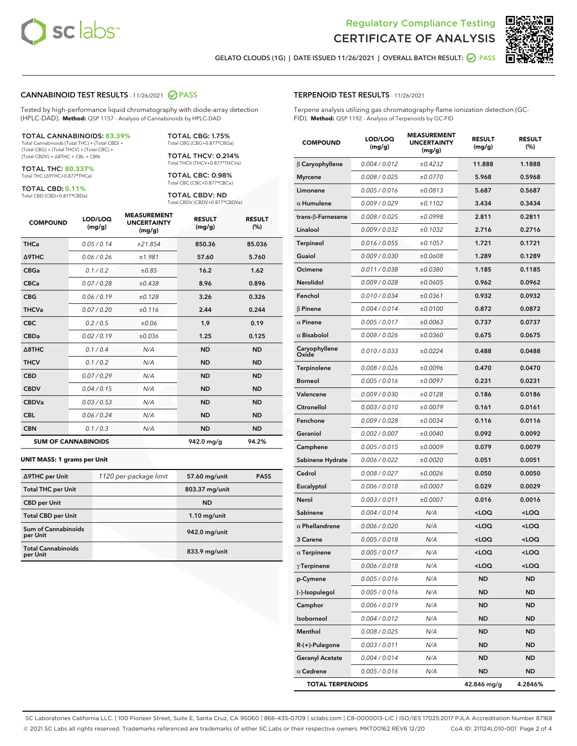



GELATO CLOUDS (1G) | DATE ISSUED 11/26/2021 | OVERALL BATCH RESULT: ○ PASS

#### CANNABINOID TEST RESULTS - 11/26/2021 2 PASS

Tested by high-performance liquid chromatography with diode-array detection (HPLC-DAD). **Method:** QSP 1157 - Analysis of Cannabinoids by HPLC-DAD

#### TOTAL CANNABINOIDS: **83.39%**

Total Cannabinoids (Total THC) + (Total CBD) + (Total CBG) + (Total THCV) + (Total CBC) + (Total CBDV) + ∆8THC + CBL + CBN

TOTAL THC: **80.337%** Total THC (∆9THC+0.877\*THCa)

TOTAL CBD: **0.11%**

Total CBD (CBD+0.877\*CBDa)

TOTAL CBG: 1.75% Total CBG (CBG+0.877\*CBGa)

TOTAL THCV: 0.214% Total THCV (THCV+0.877\*THCVa)

TOTAL CBC: 0.98% Total CBC (CBC+0.877\*CBCa)

TOTAL CBDV: ND Total CBDV (CBDV+0.877\*CBDVa)

| <b>COMPOUND</b>            | LOD/LOQ<br>(mg/g) | <b>MEASUREMENT</b><br><b>UNCERTAINTY</b><br>(mg/g) | <b>RESULT</b><br>(mg/g) | <b>RESULT</b><br>(%) |
|----------------------------|-------------------|----------------------------------------------------|-------------------------|----------------------|
| <b>THCa</b>                | 0.05/0.14         | ±21.854                                            | 850.36                  | 85.036               |
| <b>A9THC</b>               | 0.06 / 0.26       | ±1.981                                             | 57.60                   | 5.760                |
| <b>CBGa</b>                | 0.1/0.2           | ±0.85                                              | 16.2                    | 1.62                 |
| <b>CBCa</b>                | 0.07 / 0.28       | ±0.438                                             | 8.96                    | 0.896                |
| <b>CBG</b>                 | 0.06/0.19         | ±0.128                                             | 3.26                    | 0.326                |
| <b>THCVa</b>               | 0.07/0.20         | ±0.116                                             | 2.44                    | 0.244                |
| <b>CBC</b>                 | 0.2 / 0.5         | ±0.06                                              | 1.9                     | 0.19                 |
| <b>CBDa</b>                | 0.02/0.19         | ±0.036                                             | 1.25                    | 0.125                |
| A8THC                      | 0.1 / 0.4         | N/A                                                | <b>ND</b>               | <b>ND</b>            |
| <b>THCV</b>                | 0.1 / 0.2         | N/A                                                | <b>ND</b>               | <b>ND</b>            |
| <b>CBD</b>                 | 0.07/0.29         | N/A                                                | <b>ND</b>               | <b>ND</b>            |
| <b>CBDV</b>                | 0.04 / 0.15       | N/A                                                | <b>ND</b>               | <b>ND</b>            |
| <b>CBDVa</b>               | 0.03 / 0.53       | N/A                                                | <b>ND</b>               | <b>ND</b>            |
| <b>CBL</b>                 | 0.06 / 0.24       | N/A                                                | <b>ND</b>               | <b>ND</b>            |
| <b>CBN</b>                 | 0.1/0.3           | N/A                                                | <b>ND</b>               | <b>ND</b>            |
| <b>SUM OF CANNABINOIDS</b> |                   |                                                    | 942.0 mg/g              | 94.2%                |

#### **UNIT MASS: 1 grams per Unit**

| ∆9THC per Unit                        | 1120 per-package limit | 57.60 mg/unit  | <b>PASS</b> |
|---------------------------------------|------------------------|----------------|-------------|
| <b>Total THC per Unit</b>             |                        | 803.37 mg/unit |             |
| <b>CBD</b> per Unit                   |                        | <b>ND</b>      |             |
| <b>Total CBD per Unit</b>             |                        | $1.10$ mg/unit |             |
| Sum of Cannabinoids<br>per Unit       |                        | 942.0 mg/unit  |             |
| <b>Total Cannabinoids</b><br>per Unit |                        | 833.9 mg/unit  |             |

#### TERPENOID TEST RESULTS - 11/26/2021

Terpene analysis utilizing gas chromatography-flame ionization detection (GC-FID). **Method:** QSP 1192 - Analysis of Terpenoids by GC-FID

| <b>COMPOUND</b>           | LOD/LOQ<br>(mg/g) | <b>MEASUREMENT</b><br><b>UNCERTAINTY</b><br>(mg/g) | <b>RESULT</b><br>(mg/g)                         | <b>RESULT</b><br>$(\%)$ |
|---------------------------|-------------------|----------------------------------------------------|-------------------------------------------------|-------------------------|
| $\beta$ Caryophyllene     | 0.004 / 0.012     | ±0.4232                                            | 11.888                                          | 1.1888                  |
| <b>Myrcene</b>            | 0.008 / 0.025     | ±0.0770                                            | 5.968                                           | 0.5968                  |
| Limonene                  | 0.005 / 0.016     | ±0.0813                                            | 5.687                                           | 0.5687                  |
| $\alpha$ Humulene         | 0.009/0.029       | ±0.1102                                            | 3.434                                           | 0.3434                  |
| trans- $\beta$ -Farnesene | 0.008 / 0.025     | ±0.0998                                            | 2.811                                           | 0.2811                  |
| Linalool                  | 0.009 / 0.032     | ±0.1032                                            | 2.716                                           | 0.2716                  |
| <b>Terpineol</b>          | 0.016 / 0.055     | ±0.1057                                            | 1.721                                           | 0.1721                  |
| Guaiol                    | 0.009 / 0.030     | ±0.0608                                            | 1.289                                           | 0.1289                  |
| Ocimene                   | 0.011 / 0.038     | ±0.0380                                            | 1.185                                           | 0.1185                  |
| Nerolidol                 | 0.009 / 0.028     | ±0.0605                                            | 0.962                                           | 0.0962                  |
| Fenchol                   | 0.010 / 0.034     | ±0.0361                                            | 0.932                                           | 0.0932                  |
| $\beta$ Pinene            | 0.004 / 0.014     | ±0.0100                                            | 0.872                                           | 0.0872                  |
| $\alpha$ Pinene           | 0.005 / 0.017     | ±0.0063                                            | 0.737                                           | 0.0737                  |
| $\alpha$ Bisabolol        | 0.008 / 0.026     | ±0.0360                                            | 0.675                                           | 0.0675                  |
| Caryophyllene<br>Oxide    | 0.010 / 0.033     | ±0.0224                                            | 0.488                                           | 0.0488                  |
| <b>Terpinolene</b>        | 0.008 / 0.026     | ±0.0096                                            | 0.470                                           | 0.0470                  |
| <b>Borneol</b>            | 0.005 / 0.016     | ±0.0097                                            | 0.231                                           | 0.0231                  |
| Valencene                 | 0.009 / 0.030     | ±0.0128                                            | 0.186                                           | 0.0186                  |
| Citronellol               | 0.003 / 0.010     | ±0.0079                                            | 0.161                                           | 0.0161                  |
| Fenchone                  | 0.009 / 0.028     | ±0.0034                                            | 0.116                                           | 0.0116                  |
| Geraniol                  | 0.002 / 0.007     | ±0.0040                                            | 0.092                                           | 0.0092                  |
| Camphene                  | 0.005 / 0.015     | ±0.0009                                            | 0.079                                           | 0.0079                  |
| Sabinene Hydrate          | 0.006 / 0.022     | ±0.0020                                            | 0.051                                           | 0.0051                  |
| Cedrol                    | 0.008 / 0.027     | ±0.0026                                            | 0.050                                           | 0.0050                  |
| Eucalyptol                | 0.006 / 0.018     | ±0.0007                                            | 0.029                                           | 0.0029                  |
| Nerol                     | 0.003 / 0.011     | ±0.0007                                            | 0.016                                           | 0.0016                  |
| Sabinene                  | 0.004 / 0.014     | N/A                                                | <loq< th=""><th><loq< th=""></loq<></th></loq<> | <loq< th=""></loq<>     |
| $\alpha$ Phellandrene     | 0.006 / 0.020     | N/A                                                | <loq< th=""><th><loq< th=""></loq<></th></loq<> | <loq< th=""></loq<>     |
| 3 Carene                  | 0.005 / 0.018     | N/A                                                | <loq< th=""><th><loq< th=""></loq<></th></loq<> | <loq< th=""></loq<>     |
| $\alpha$ Terpinene        | 0.005 / 0.017     | N/A                                                | $<$ LOQ                                         | $<$ LOQ                 |
| $\gamma$ Terpinene        | 0.006 / 0.018     | N/A                                                | <loq< th=""><th><loq< th=""></loq<></th></loq<> | <loq< th=""></loq<>     |
| p-Cymene                  | 0.005 / 0.016     | N/A                                                | ND                                              | ND                      |
| (-)-Isopulegol            | 0.005 / 0.016     | N/A                                                | <b>ND</b>                                       | <b>ND</b>               |
| Camphor                   | 0.006 / 0.019     | N/A                                                | ND                                              | ND                      |
| Isoborneol                | 0.004 / 0.012     | N/A                                                | ND                                              | ND                      |
| Menthol                   | 0.008 / 0.025     | N/A                                                | <b>ND</b>                                       | <b>ND</b>               |
| R-(+)-Pulegone            | 0.003 / 0.011     | N/A                                                | ND                                              | ND                      |
| <b>Geranyl Acetate</b>    | 0.004 / 0.014     | N/A                                                | ND                                              | ND                      |
| $\alpha$ Cedrene          | 0.005 / 0.016     | N/A                                                | ND                                              | <b>ND</b>               |
| <b>TOTAL TERPENOIDS</b>   |                   |                                                    | 42.846 mg/g                                     | 4.2846%                 |

SC Laboratories California LLC. | 100 Pioneer Street, Suite E, Santa Cruz, CA 95060 | 866-435-0709 | sclabs.com | C8-0000013-LIC | ISO/IES 17025:2017 PJLA Accreditation Number 87168 © 2021 SC Labs all rights reserved. Trademarks referenced are trademarks of either SC Labs or their respective owners. MKT00162 REV6 12/20 CoA ID: 211124L010-001 Page 2 of 4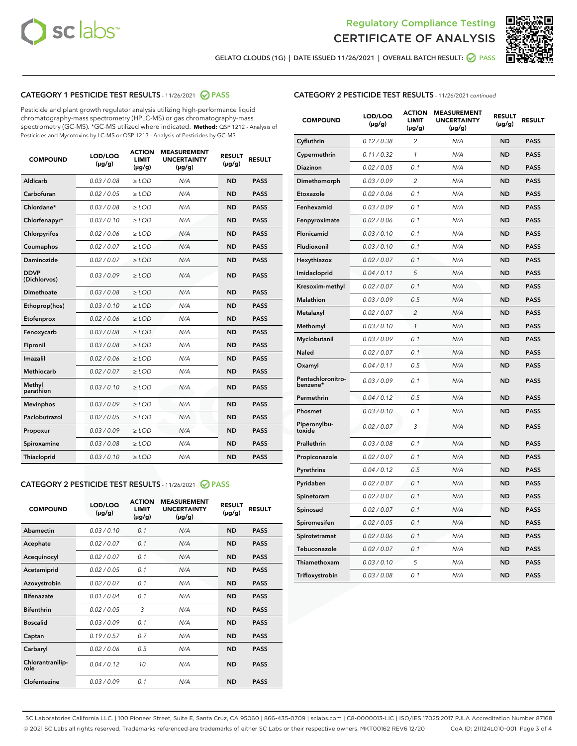



GELATO CLOUDS (1G) | DATE ISSUED 11/26/2021 | OVERALL BATCH RESULT: ◎ PASS

## CATEGORY 1 PESTICIDE TEST RESULTS - 11/26/2021 2 PASS

Pesticide and plant growth regulator analysis utilizing high-performance liquid chromatography-mass spectrometry (HPLC-MS) or gas chromatography-mass spectrometry (GC-MS). \*GC-MS utilized where indicated. **Method:** QSP 1212 - Analysis of Pesticides and Mycotoxins by LC-MS or QSP 1213 - Analysis of Pesticides by GC-MS

| <b>COMPOUND</b>             | LOD/LOQ<br>$(\mu g/g)$ | <b>ACTION</b><br><b>LIMIT</b><br>$(\mu q/q)$ | <b>MEASUREMENT</b><br><b>UNCERTAINTY</b><br>$(\mu g/g)$ | <b>RESULT</b><br>$(\mu g/g)$ | <b>RESULT</b> |
|-----------------------------|------------------------|----------------------------------------------|---------------------------------------------------------|------------------------------|---------------|
| Aldicarb                    | 0.03/0.08              | $\ge$ LOD                                    | N/A                                                     | <b>ND</b>                    | <b>PASS</b>   |
| Carbofuran                  | 0.02 / 0.05            | $\ge$ LOD                                    | N/A                                                     | <b>ND</b>                    | <b>PASS</b>   |
| Chlordane*                  | 0.03 / 0.08            | $\ge$ LOD                                    | N/A                                                     | <b>ND</b>                    | <b>PASS</b>   |
| Chlorfenapyr*               | 0.03/0.10              | $\ge$ LOD                                    | N/A                                                     | <b>ND</b>                    | <b>PASS</b>   |
| Chlorpyrifos                | 0.02 / 0.06            | $\ge$ LOD                                    | N/A                                                     | <b>ND</b>                    | <b>PASS</b>   |
| Coumaphos                   | 0.02 / 0.07            | $\ge$ LOD                                    | N/A                                                     | <b>ND</b>                    | <b>PASS</b>   |
| Daminozide                  | 0.02 / 0.07            | $\ge$ LOD                                    | N/A                                                     | <b>ND</b>                    | <b>PASS</b>   |
| <b>DDVP</b><br>(Dichlorvos) | 0.03/0.09              | $\ge$ LOD                                    | N/A                                                     | <b>ND</b>                    | <b>PASS</b>   |
| Dimethoate                  | 0.03 / 0.08            | $\ge$ LOD                                    | N/A                                                     | <b>ND</b>                    | <b>PASS</b>   |
| Ethoprop(hos)               | 0.03/0.10              | $\ge$ LOD                                    | N/A                                                     | <b>ND</b>                    | <b>PASS</b>   |
| Etofenprox                  | 0.02/0.06              | $>$ LOD                                      | N/A                                                     | <b>ND</b>                    | <b>PASS</b>   |
| Fenoxycarb                  | 0.03 / 0.08            | $\ge$ LOD                                    | N/A                                                     | <b>ND</b>                    | <b>PASS</b>   |
| Fipronil                    | 0.03/0.08              | $>$ LOD                                      | N/A                                                     | <b>ND</b>                    | <b>PASS</b>   |
| Imazalil                    | 0.02 / 0.06            | $\ge$ LOD                                    | N/A                                                     | <b>ND</b>                    | <b>PASS</b>   |
| Methiocarb                  | 0.02 / 0.07            | $\ge$ LOD                                    | N/A                                                     | <b>ND</b>                    | <b>PASS</b>   |
| Methyl<br>parathion         | 0.03/0.10              | $>$ LOD                                      | N/A                                                     | <b>ND</b>                    | <b>PASS</b>   |
| <b>Mevinphos</b>            | 0.03/0.09              | $>$ LOD                                      | N/A                                                     | <b>ND</b>                    | <b>PASS</b>   |
| Paclobutrazol               | 0.02 / 0.05            | $>$ LOD                                      | N/A                                                     | <b>ND</b>                    | <b>PASS</b>   |
| Propoxur                    | 0.03/0.09              | $\ge$ LOD                                    | N/A                                                     | <b>ND</b>                    | <b>PASS</b>   |
| Spiroxamine                 | 0.03 / 0.08            | $\ge$ LOD                                    | N/A                                                     | <b>ND</b>                    | <b>PASS</b>   |
| Thiacloprid                 | 0.03/0.10              | $\ge$ LOD                                    | N/A                                                     | <b>ND</b>                    | <b>PASS</b>   |

## CATEGORY 2 PESTICIDE TEST RESULTS - 11/26/2021 @ PASS

| <b>COMPOUND</b>          | LOD/LOO<br>$(\mu g/g)$ | <b>ACTION</b><br>LIMIT<br>$(\mu g/g)$ | <b>MEASUREMENT</b><br><b>UNCERTAINTY</b><br>$(\mu g/g)$ | <b>RESULT</b><br>$(\mu g/g)$ | <b>RESULT</b> |  |
|--------------------------|------------------------|---------------------------------------|---------------------------------------------------------|------------------------------|---------------|--|
| Abamectin                | 0.03/0.10              | 0.1                                   | N/A                                                     | <b>ND</b>                    | <b>PASS</b>   |  |
| Acephate                 | 0.02/0.07              | 0.1                                   | N/A                                                     | <b>ND</b>                    | <b>PASS</b>   |  |
| Acequinocyl              | 0.02/0.07              | 0.1                                   | N/A                                                     | <b>ND</b>                    | <b>PASS</b>   |  |
| Acetamiprid              | 0.02 / 0.05            | 0.1                                   | N/A                                                     | <b>ND</b>                    | <b>PASS</b>   |  |
| Azoxystrobin             | 0.02/0.07              | 0.1                                   | N/A                                                     | <b>ND</b>                    | <b>PASS</b>   |  |
| <b>Bifenazate</b>        | 0.01 / 0.04            | 0.1                                   | N/A                                                     | <b>ND</b>                    | <b>PASS</b>   |  |
| <b>Bifenthrin</b>        | 0.02 / 0.05            | 3                                     | N/A                                                     | <b>ND</b>                    | <b>PASS</b>   |  |
| <b>Boscalid</b>          | 0.03/0.09              | 0.1                                   | N/A                                                     | <b>ND</b>                    | <b>PASS</b>   |  |
| Captan                   | 0.19/0.57              | 0.7                                   | N/A                                                     | <b>ND</b>                    | <b>PASS</b>   |  |
| Carbaryl                 | 0.02/0.06              | 0.5                                   | N/A                                                     | <b>ND</b>                    | <b>PASS</b>   |  |
| Chlorantranilip-<br>role | 0.04/0.12              | 10                                    | N/A                                                     | <b>ND</b>                    | <b>PASS</b>   |  |
| Clofentezine             | 0.03/0.09              | 0.1                                   | N/A                                                     | <b>ND</b>                    | <b>PASS</b>   |  |

| <b>COMPOUND</b>               | LOD/LOQ<br>(µg/g) | <b>ACTION</b><br><b>LIMIT</b><br>(µg/g) | <b>MEASUREMENT</b><br><b>UNCERTAINTY</b><br>$(\mu g/g)$ | <b>RESULT</b><br>(µg/g) | <b>RESULT</b> |
|-------------------------------|-------------------|-----------------------------------------|---------------------------------------------------------|-------------------------|---------------|
| Cyfluthrin                    | 0.12 / 0.38       | $\overline{c}$                          | N/A                                                     | <b>ND</b>               | <b>PASS</b>   |
| Cypermethrin                  | 0.11 / 0.32       | 1                                       | N/A                                                     | <b>ND</b>               | <b>PASS</b>   |
| <b>Diazinon</b>               | 0.02 / 0.05       | 0.1                                     | N/A                                                     | <b>ND</b>               | <b>PASS</b>   |
| Dimethomorph                  | 0.03 / 0.09       | 2                                       | N/A                                                     | <b>ND</b>               | <b>PASS</b>   |
| Etoxazole                     | 0.02 / 0.06       | 0.1                                     | N/A                                                     | <b>ND</b>               | <b>PASS</b>   |
| Fenhexamid                    | 0.03 / 0.09       | 0.1                                     | N/A                                                     | <b>ND</b>               | <b>PASS</b>   |
| Fenpyroximate                 | 0.02 / 0.06       | 0.1                                     | N/A                                                     | <b>ND</b>               | <b>PASS</b>   |
| Flonicamid                    | 0.03 / 0.10       | 0.1                                     | N/A                                                     | <b>ND</b>               | <b>PASS</b>   |
| Fludioxonil                   | 0.03 / 0.10       | 0.1                                     | N/A                                                     | <b>ND</b>               | <b>PASS</b>   |
| Hexythiazox                   | 0.02 / 0.07       | 0.1                                     | N/A                                                     | <b>ND</b>               | <b>PASS</b>   |
| Imidacloprid                  | 0.04 / 0.11       | 5                                       | N/A                                                     | <b>ND</b>               | <b>PASS</b>   |
| Kresoxim-methyl               | 0.02 / 0.07       | 0.1                                     | N/A                                                     | <b>ND</b>               | <b>PASS</b>   |
| Malathion                     | 0.03 / 0.09       | 0.5                                     | N/A                                                     | <b>ND</b>               | <b>PASS</b>   |
| Metalaxyl                     | 0.02 / 0.07       | $\overline{c}$                          | N/A                                                     | <b>ND</b>               | <b>PASS</b>   |
| Methomyl                      | 0.03 / 0.10       | $\mathcal{I}$                           | N/A                                                     | <b>ND</b>               | <b>PASS</b>   |
| Myclobutanil                  | 0.03 / 0.09       | 0.1                                     | N/A                                                     | <b>ND</b>               | <b>PASS</b>   |
| <b>Naled</b>                  | 0.02 / 0.07       | 0.1                                     | N/A                                                     | <b>ND</b>               | <b>PASS</b>   |
| Oxamyl                        | 0.04 / 0.11       | 0.5                                     | N/A                                                     | <b>ND</b>               | <b>PASS</b>   |
| Pentachloronitro-<br>benzene* | 0.03/0.09         | 0.1                                     | N/A                                                     | <b>ND</b>               | <b>PASS</b>   |
| Permethrin                    | 0.04 / 0.12       | 0.5                                     | N/A                                                     | <b>ND</b>               | <b>PASS</b>   |
| Phosmet                       | 0.03 / 0.10       | 0.1                                     | N/A                                                     | <b>ND</b>               | <b>PASS</b>   |
| Piperonylbu-<br>toxide        | 0.02 / 0.07       | 3                                       | N/A                                                     | <b>ND</b>               | <b>PASS</b>   |
| Prallethrin                   | 0.03 / 0.08       | 0.1                                     | N/A                                                     | <b>ND</b>               | <b>PASS</b>   |
| Propiconazole                 | 0.02 / 0.07       | 0.1                                     | N/A                                                     | <b>ND</b>               | <b>PASS</b>   |
| Pyrethrins                    | 0.04 / 0.12       | 0.5                                     | N/A                                                     | <b>ND</b>               | <b>PASS</b>   |
| Pyridaben                     | 0.02 / 0.07       | 0.1                                     | N/A                                                     | <b>ND</b>               | <b>PASS</b>   |
| Spinetoram                    | 0.02 / 0.07       | 0.1                                     | N/A                                                     | <b>ND</b>               | <b>PASS</b>   |
| Spinosad                      | 0.02 / 0.07       | 0.1                                     | N/A                                                     | <b>ND</b>               | <b>PASS</b>   |
| Spiromesifen                  | 0.02 / 0.05       | 0.1                                     | N/A                                                     | <b>ND</b>               | <b>PASS</b>   |
| Spirotetramat                 | 0.02 / 0.06       | 0.1                                     | N/A                                                     | ND                      | <b>PASS</b>   |
| Tebuconazole                  | 0.02 / 0.07       | 0.1                                     | N/A                                                     | <b>ND</b>               | <b>PASS</b>   |
| Thiamethoxam                  | 0.03 / 0.10       | 5                                       | N/A                                                     | <b>ND</b>               | <b>PASS</b>   |
| Trifloxystrobin               | 0.03 / 0.08       | 0.1                                     | N/A                                                     | <b>ND</b>               | <b>PASS</b>   |

SC Laboratories California LLC. | 100 Pioneer Street, Suite E, Santa Cruz, CA 95060 | 866-435-0709 | sclabs.com | C8-0000013-LIC | ISO/IES 17025:2017 PJLA Accreditation Number 87168 © 2021 SC Labs all rights reserved. Trademarks referenced are trademarks of either SC Labs or their respective owners. MKT00162 REV6 12/20 CoA ID: 211124L010-001 Page 3 of 4